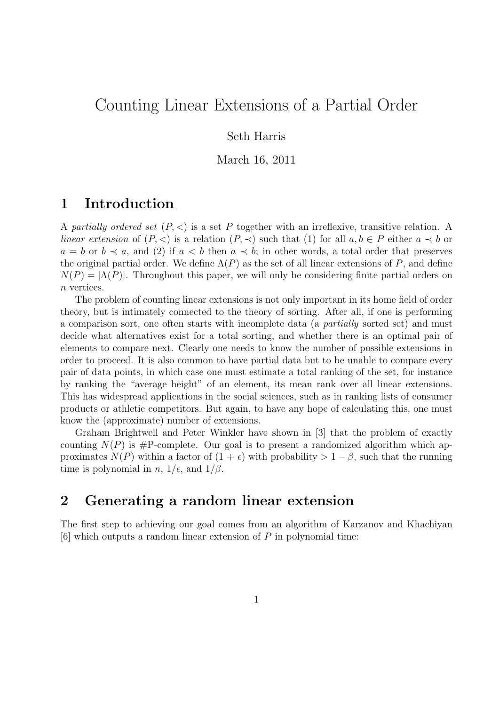# Counting Linear Extensions of a Partial Order

Seth Harris

March 16, 2011

### 1 Introduction

A partially ordered set  $(P, \leq)$  is a set P together with an irreflexive, transitive relation. A linear extension of  $(P, \leq)$  is a relation  $(P, \preceq)$  such that  $(1)$  for all  $a, b \in P$  either  $a \preceq b$  or  $a = b$  or  $b \prec a$ , and (2) if  $a < b$  then  $a \prec b$ ; in other words, a total order that preserves the original partial order. We define  $\Lambda(P)$  as the set of all linear extensions of P, and define  $N(P) = |\Lambda(P)|$ . Throughout this paper, we will only be considering finite partial orders on n vertices.

The problem of counting linear extensions is not only important in its home field of order theory, but is intimately connected to the theory of sorting. After all, if one is performing a comparison sort, one often starts with incomplete data (a partially sorted set) and must decide what alternatives exist for a total sorting, and whether there is an optimal pair of elements to compare next. Clearly one needs to know the number of possible extensions in order to proceed. It is also common to have partial data but to be unable to compare every pair of data points, in which case one must estimate a total ranking of the set, for instance by ranking the "average height" of an element, its mean rank over all linear extensions. This has widespread applications in the social sciences, such as in ranking lists of consumer products or athletic competitors. But again, to have any hope of calculating this, one must know the (approximate) number of extensions.

Graham Brightwell and Peter Winkler have shown in [3] that the problem of exactly counting  $N(P)$  is #P-complete. Our goal is to present a randomized algorithm which approximates  $N(P)$  within a factor of  $(1 + \epsilon)$  with probability  $> 1 - \beta$ , such that the running time is polynomial in  $n, 1/\epsilon$ , and  $1/\beta$ .

### 2 Generating a random linear extension

The first step to achieving our goal comes from an algorithm of Karzanov and Khachiyan  $[6]$  which outputs a random linear extension of P in polynomial time: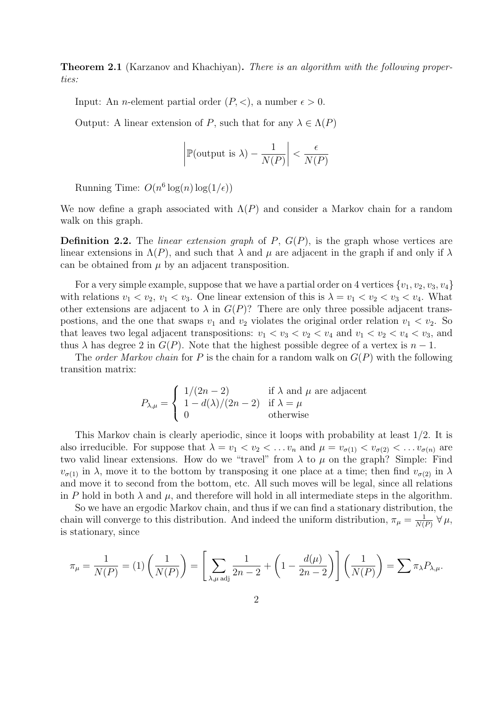**Theorem 2.1** (Karzanov and Khachiyan). *There is an algorithm with the following proper*ties:

Input: An *n*-element partial order  $(P, <)$ , a number  $\epsilon > 0$ .

Output: A linear extension of P, such that for any  $\lambda \in \Lambda(P)$ 

$$
\left| \mathbb{P}(\text{output is }\lambda) - \frac{1}{N(P)} \right| < \frac{\epsilon}{N(P)}
$$

Running Time:  $O(n^6 \log(n) \log(1/\epsilon))$ 

We now define a graph associated with  $\Lambda(P)$  and consider a Markov chain for a random walk on this graph.

**Definition 2.2.** The *linear extension graph* of  $P$ ,  $G(P)$ , is the graph whose vertices are linear extensions in  $\Lambda(P)$ , and such that  $\lambda$  and  $\mu$  are adjacent in the graph if and only if  $\lambda$ can be obtained from  $\mu$  by an adjacent transposition.

For a very simple example, suppose that we have a partial order on 4 vertices  $\{v_1, v_2, v_3, v_4\}$ with relations  $v_1 < v_2$ ,  $v_1 < v_3$ . One linear extension of this is  $\lambda = v_1 < v_2 < v_3 < v_4$ . What other extensions are adjacent to  $\lambda$  in  $G(P)$ ? There are only three possible adjacent transpostions, and the one that swaps  $v_1$  and  $v_2$  violates the original order relation  $v_1 < v_2$ . So that leaves two legal adjacent transpositions:  $v_1 < v_3 < v_2 < v_4$  and  $v_1 < v_2 < v_4 < v_3$ , and thus  $\lambda$  has degree 2 in  $G(P)$ . Note that the highest possible degree of a vertex is  $n-1$ .

The *order Markov chain* for P is the chain for a random walk on  $G(P)$  with the following transition matrix:

$$
P_{\lambda,\mu} = \begin{cases} 1/(2n-2) & \text{if } \lambda \text{ and } \mu \text{ are adjacent} \\ 1 - d(\lambda)/(2n-2) & \text{if } \lambda = \mu \\ 0 & \text{otherwise} \end{cases}
$$

This Markov chain is clearly aperiodic, since it loops with probability at least 1/2. It is also irreducible. For suppose that  $\lambda = v_1 < v_2 < \ldots v_n$  and  $\mu = v_{\sigma(1)} < v_{\sigma(2)} < \ldots v_{\sigma(n)}$  are two valid linear extensions. How do we "travel" from  $\lambda$  to  $\mu$  on the graph? Simple: Find  $v_{\sigma(1)}$  in  $\lambda$ , move it to the bottom by transposing it one place at a time; then find  $v_{\sigma(2)}$  in  $\lambda$ and move it to second from the bottom, etc. All such moves will be legal, since all relations in P hold in both  $\lambda$  and  $\mu$ , and therefore will hold in all intermediate steps in the algorithm.

So we have an ergodic Markov chain, and thus if we can find a stationary distribution, the chain will converge to this distribution. And indeed the uniform distribution,  $\pi_{\mu} = \frac{1}{N(1-\mu)}$  $\frac{1}{N(P)}$   $\forall \mu$ , is stationary, since

$$
\pi_{\mu} = \frac{1}{N(P)} = (1) \left( \frac{1}{N(P)} \right) = \left[ \sum_{\lambda,\mu \text{ adj}} \frac{1}{2n-2} + \left( 1 - \frac{d(\mu)}{2n-2} \right) \right] \left( \frac{1}{N(P)} \right) = \sum \pi_{\lambda} P_{\lambda,\mu}.
$$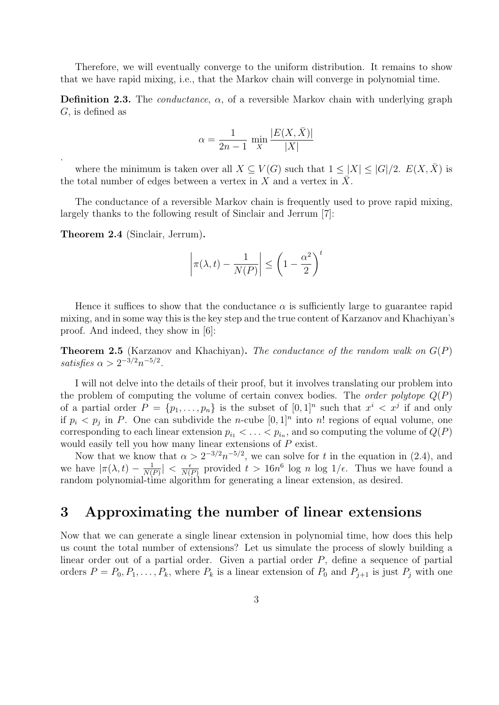Therefore, we will eventually converge to the uniform distribution. It remains to show that we have rapid mixing, i.e., that the Markov chain will converge in polynomial time.

**Definition 2.3.** The *conductance*,  $\alpha$ , of a reversible Markov chain with underlying graph G, is defined as

$$
\alpha = \frac{1}{2n - 1} \min_{X} \frac{|E(X, \bar{X})|}{|X|}
$$

where the minimum is taken over all  $X \subseteq V(G)$  such that  $1 \leq |X| \leq |G|/2$ .  $E(X, X)$  is the total number of edges between a vertex in X and a vertex in  $\bar{X}$ .

The conductance of a reversible Markov chain is frequently used to prove rapid mixing, largely thanks to the following result of Sinclair and Jerrum [7]:

Theorem 2.4 (Sinclair, Jerrum).

.

$$
\left|\pi(\lambda, t) - \frac{1}{N(P)}\right| \le \left(1 - \frac{\alpha^2}{2}\right)^t
$$

Hence it suffices to show that the conductance  $\alpha$  is sufficiently large to guarantee rapid mixing, and in some way this is the key step and the true content of Karzanov and Khachiyan's proof. And indeed, they show in [6]:

**Theorem 2.5** (Karzanov and Khachiyan). The conductance of the random walk on  $G(P)$ satisfies  $\alpha > 2^{-3/2} n^{-5/2}$ .

I will not delve into the details of their proof, but it involves translating our problem into the problem of computing the volume of certain convex bodies. The *order polytope*  $Q(P)$ of a partial order  $P = \{p_1, \ldots, p_n\}$  is the subset of  $[0,1]^n$  such that  $x^i \lt x^j$  if and only if  $p_i < p_j$  in P. One can subdivide the *n*-cube  $[0,1]^n$  into *n*! regions of equal volume, one corresponding to each linear extension  $p_{i_1} < \ldots < p_{i_n}$ , and so computing the volume of  $Q(P)$ would easily tell you how many linear extensions of P exist.

Now that we know that  $\alpha > 2^{-3/2} n^{-5/2}$ , we can solve for t in the equation in (2.4), and we have  $|\pi(\lambda, t) - \frac{1}{N}$  $\frac{1}{N(P)}$  | <  $\frac{\epsilon}{N(}$  $\frac{\epsilon}{N(P)}$  provided  $t > 16n^6$  log n log  $1/\epsilon$ . Thus we have found a random polynomial-time algorithm for generating a linear extension, as desired.

#### 3 Approximating the number of linear extensions

Now that we can generate a single linear extension in polynomial time, how does this help us count the total number of extensions? Let us simulate the process of slowly building a linear order out of a partial order. Given a partial order P, define a sequence of partial orders  $P = P_0, P_1, \ldots, P_k$ , where  $P_k$  is a linear extension of  $P_0$  and  $P_{j+1}$  is just  $P_j$  with one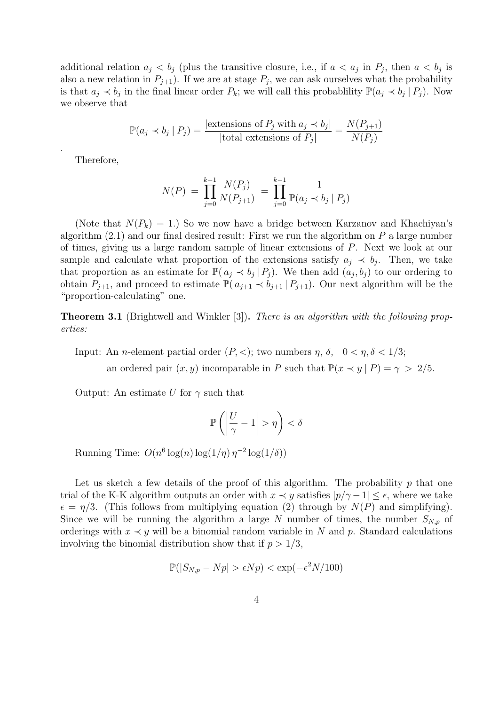additional relation  $a_j < b_j$  (plus the transitive closure, i.e., if  $a < a_j$  in  $P_j$ , then  $a < b_j$  is also a new relation in  $P_{j+1}$ ). If we are at stage  $P_j$ , we can ask ourselves what the probability is that  $a_j \prec b_j$  in the final linear order  $P_k$ ; we will call this probablility  $\mathbb{P}(a_j \prec b_j | P_j)$ . Now we observe that

$$
\mathbb{P}(a_j \prec b_j | P_j) = \frac{|\text{extension of } P_j \text{ with } a_j \prec b_j|}{|\text{total extensions of } P_j|} = \frac{N(P_{j+1})}{N(P_j)}
$$

Therefore,

.

$$
N(P) = \prod_{j=0}^{k-1} \frac{N(P_j)}{N(P_{j+1})} = \prod_{j=0}^{k-1} \frac{1}{\mathbb{P}(a_j \prec b_j \mid P_j)}
$$

(Note that  $N(P_k) = 1$ .) So we now have a bridge between Karzanov and Khachiyan's algorithm  $(2.1)$  and our final desired result: First we run the algorithm on P a large number of times, giving us a large random sample of linear extensions of P. Next we look at our sample and calculate what proportion of the extensions satisfy  $a_j \prec b_j$ . Then, we take that proportion as an estimate for  $\mathbb{P}(\mathfrak{a}_j \prec \mathfrak{b}_j | P_j)$ . We then add  $(\mathfrak{a}_j, \mathfrak{b}_j)$  to our ordering to obtain  $P_{j+1}$ , and proceed to estimate  $\mathbb{P}(\mathfrak{a}_{j+1} \prec \mathfrak{b}_{j+1} | P_{j+1})$ . Our next algorithm will be the "proportion-calculating" one.

Theorem 3.1 (Brightwell and Winkler [3]). There is an algorithm with the following properties:

Input: An *n*-element partial order  $(P, <)$ ; two numbers  $\eta$ ,  $\delta$ ,  $0 < \eta$ ,  $\delta < 1/3$ ; an ordered pair  $(x, y)$  incomparable in P such that  $\mathbb{P}(x \prec y | P) = \gamma > 2/5$ .

Output: An estimate U for  $\gamma$  such that

$$
\mathbb{P}\left(\left|\frac{U}{\gamma}-1\right|>\eta\right)<\delta
$$

Running Time:  $O(n^6 \log(n) \log(1/\eta) \eta^{-2} \log(1/\delta))$ 

Let us sketch a few details of the proof of this algorithm. The probability  $p$  that one trial of the K-K algorithm outputs an order with  $x \prec y$  satisfies  $|p/\gamma - 1| \leq \epsilon$ , where we take  $\epsilon = \eta/3$ . (This follows from multiplying equation (2) through by  $N(P)$  and simplifying). Since we will be running the algorithm a large N number of times, the number  $S_{N,p}$  of orderings with  $x \prec y$  will be a binomial random variable in N and p. Standard calculations involving the binomial distribution show that if  $p > 1/3$ ,

$$
\mathbb{P}(|S_{N,p} - Np| > \epsilon Np) < \exp(-\epsilon^2 N/100)
$$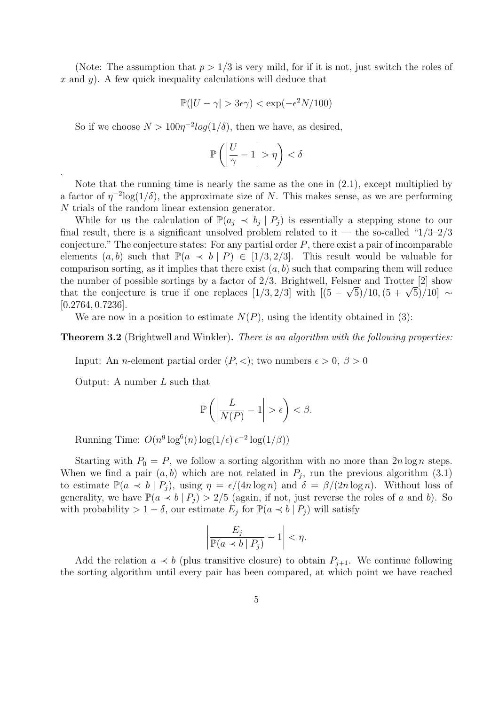(Note: The assumption that  $p > 1/3$  is very mild, for if it is not, just switch the roles of x and y). A few quick inequality calculations will deduce that

$$
\mathbb{P}(|U - \gamma| > 3\epsilon \gamma) < \exp(-\epsilon^2 N / 100)
$$

So if we choose  $N > 100\eta^{-2} \log(1/\delta)$ , then we have, as desired,

$$
\mathbb{P}\left(\left|\frac{U}{\gamma}-1\right|>\eta\right)<\delta
$$

Note that the running time is nearly the same as the one in (2.1), except multiplied by a factor of  $\eta^{-2}$ log(1/ $\delta$ ), the approximate size of N. This makes sense, as we are performing N trials of the random linear extension generator.

While for us the calculation of  $\mathbb{P}(a_j \prec b_j | P_j)$  is essentially a stepping stone to our final result, there is a significant unsolved problem related to it — the so-called " $1/3-2/3$ " conjecture." The conjecture states: For any partial order  $P$ , there exist a pair of incomparable elements  $(a, b)$  such that  $\mathbb{P}(a \prec b | P) \in [1/3, 2/3]$ . This result would be valuable for comparison sorting, as it implies that there exist  $(a, b)$  such that comparing them will reduce the number of possible sortings by a factor of 2/3. Brightwell, Felsner and Trotter [2] show the number of possible sortings by a factor of 2/3. Brightwell, Feisher and Trotter [2] show<br>that the conjecture is true if one replaces  $[1/3, 2/3]$  with  $[(5 - \sqrt{5})/10, (5 + \sqrt{5})/10] \sim$ [0.2764, 0.7236].

We are now in a position to estimate  $N(P)$ , using the identity obtained in (3):

**Theorem 3.2** (Brightwell and Winkler). There is an algorithm with the following properties:

Input: An *n*-element partial order  $(P, <)$ ; two numbers  $\epsilon > 0$ ,  $\beta > 0$ 

Output: A number L such that

.

$$
\mathbb{P}\left(\left|\frac{L}{N(P)}-1\right|>\epsilon\right)<\beta.
$$

Running Time:  $O(n^9 \log^6(n) \log(1/\epsilon) \epsilon^{-2} \log(1/\beta))$ 

Starting with  $P_0 = P$ , we follow a sorting algorithm with no more than  $2n \log n$  steps. When we find a pair  $(a, b)$  which are not related in  $P_j$ , run the previous algorithm  $(3.1)$ to estimate  $\mathbb{P}(a \prec b \mid P_i)$ , using  $\eta = \epsilon/(4n \log n)$  and  $\delta = \beta/(2n \log n)$ . Without loss of generality, we have  $\mathbb{P}(a \prec b | P_i) > 2/5$  (again, if not, just reverse the roles of a and b). So with probability > 1 –  $\delta$ , our estimate  $E_j$  for  $\mathbb{P}(a \prec b \mid P_j)$  will satisfy

$$
\left|\frac{E_j}{\mathbb{P}(a \prec b \mid P_j)} - 1\right| < \eta.
$$

Add the relation  $a \prec b$  (plus transitive closure) to obtain  $P_{j+1}$ . We continue following the sorting algorithm until every pair has been compared, at which point we have reached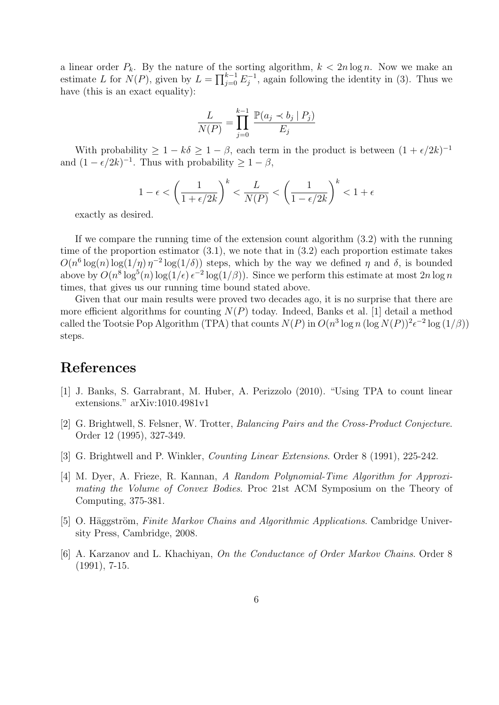a linear order  $P_k$ . By the nature of the sorting algorithm,  $k < 2n \log n$ . Now we make an estimate L for  $N(P)$ , given by  $L = \prod_{j=0}^{k-1} E_j^{-1}$  $j_j^{-1}$ , again following the identity in (3). Thus we have (this is an exact equality):

$$
\frac{L}{N(P)} = \prod_{j=0}^{k-1} \frac{\mathbb{P}(a_j \prec b_j \mid P_j)}{E_j}
$$

With probability  $\geq 1 - k\delta \geq 1 - \beta$ , each term in the product is between  $(1 + \epsilon/2k)^{-1}$ and  $(1 - \epsilon/2k)^{-1}$ . Thus with probability  $\geq 1 - \beta$ ,

$$
1 - \epsilon < \left(\frac{1}{1 + \epsilon/2k}\right)^k < \frac{L}{N(P)} < \left(\frac{1}{1 - \epsilon/2k}\right)^k < 1 + \epsilon
$$

exactly as desired.

If we compare the running time of the extension count algorithm (3.2) with the running time of the proportion estimator  $(3.1)$ , we note that in  $(3.2)$  each proportion estimate takes  $O(n^6 \log(n) \log(1/\eta) \eta^{-2} \log(1/\delta))$  steps, which by the way we defined  $\eta$  and  $\delta$ , is bounded above by  $O(n^8 \log^5(n) \log(1/\epsilon) \epsilon^{-2} \log(1/\beta))$ . Since we perform this estimate at most  $2n \log n$ times, that gives us our running time bound stated above.

Given that our main results were proved two decades ago, it is no surprise that there are more efficient algorithms for counting  $N(P)$  today. Indeed, Banks et al. [1] detail a method called the Tootsie Pop Algorithm (TPA) that counts  $N(P)$  in  $O(n^3 \log n (\log N(P))^2 \epsilon^{-2} \log(1/\beta))$ steps.

## References

- [1] J. Banks, S. Garrabrant, M. Huber, A. Perizzolo (2010). "Using TPA to count linear extensions." arXiv:1010.4981v1
- [2] G. Brightwell, S. Felsner, W. Trotter, Balancing Pairs and the Cross-Product Conjecture. Order 12 (1995), 327-349.
- [3] G. Brightwell and P. Winkler, Counting Linear Extensions. Order 8 (1991), 225-242.
- [4] M. Dyer, A. Frieze, R. Kannan, A Random Polynomial-Time Algorithm for Approximating the Volume of Convex Bodies. Proc 21st ACM Symposium on the Theory of Computing, 375-381.
- [5] O. Häggström, Finite Markov Chains and Algorithmic Applications. Cambridge University Press, Cambridge, 2008.
- [6] A. Karzanov and L. Khachiyan, On the Conductance of Order Markov Chains. Order 8 (1991), 7-15.